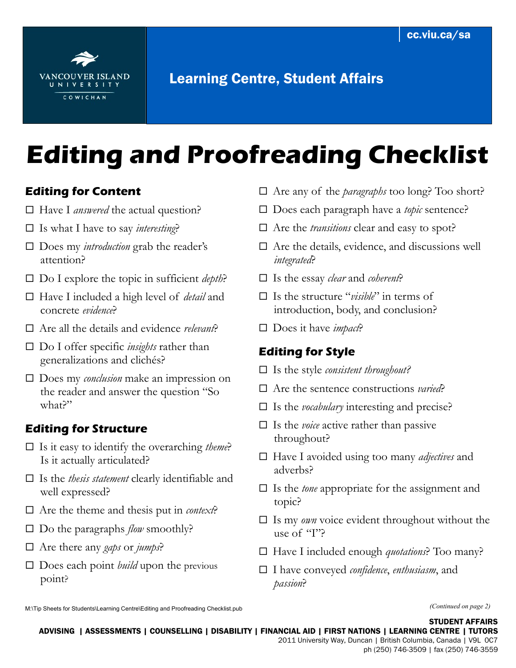

## Learning Centre, Student Affairs

# **Editing and Proofreading Checklist**

### **Editing for Content**

- □ Have I *answered* the actual question?
- $\Box$  Is what I have to say *interesting*?
- □ Does my *introduction* grab the reader's attention?
- □ Do I explore the topic in sufficient *depth*?
- Have I included a high level of *detail* and concrete *evidence*?
- Are all the details and evidence *relevant*?
- □ Do I offer specific *insights* rather than generalizations and clichés?
- □ Does my *conclusion* make an impression on the reader and answer the question "So what?"

#### **Editing for Structure**

- $\Box$  Is it easy to identify the overarching *theme*? Is it actually articulated?
- Is the *thesis statement* clearly identifiable and well expressed?
- $\Box$  Are the theme and thesis put in *context*?
- $\square$  Do the paragraphs *flow* smoothly?
- Are there any *gaps* or *jumps*?
- □ Does each point *build* upon the previous point?
- □ Does each paragraph have a *topic* sentence?
- □ Are the *transitions* clear and easy to spot?
- $\Box$  Are the details, evidence, and discussions well *integrated*?
- Is the essay *clear* and *coherent*?
- Is the structure "*visible*" in terms of introduction, body, and conclusion?
- □ Does it have *impact*?

#### **Editing for Style**

- Is the style *consistent throughout?*
- Are the sentence constructions *varied*?
- Is the *vocabulary* interesting and precise?
- $\Box$  Is the *voice* active rather than passive throughout?
- Have I avoided using too many *adjectives* and adverbs?
- Is the *tone* appropriate for the assignment and topic?
- $\square$  Is my *own* voice evident throughout without the use of "I"?
- Have I included enough *quotations*? Too many?
- I have conveyed *confidence*, *enthusiasm*, and *passion*?

ADVISING | ASSESSMENTS | COUNSELLING | DISABILITY | FINANCIAL AID | FIRST NATIONS | LEARNING CENTRE | TUTORS 2011 University Way, Duncan | British Columbia, Canada | V9L 0C7

Are any of the *paragraphs* too long? Too short?

M:\Tip Sheets for Students\Learning Centre\Editing and Proofreading Checklist.pub *(Continued on page 2)*